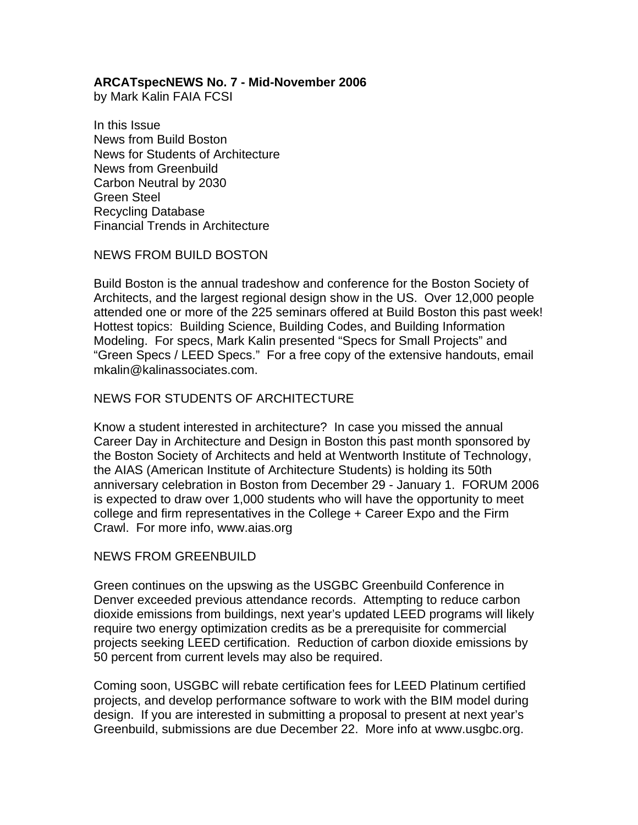### **ARCATspecNEWS No. 7 - Mid-November 2006**

by Mark Kalin FAIA FCSI

In this Issue News from Build Boston News for Students of Architecture News from Greenbuild Carbon Neutral by 2030 Green Steel Recycling Database Financial Trends in Architecture

#### NEWS FROM BUILD BOSTON

Build Boston is the annual tradeshow and conference for the Boston Society of Architects, and the largest regional design show in the US. Over 12,000 people attended one or more of the 225 seminars offered at Build Boston this past week! Hottest topics: Building Science, Building Codes, and Building Information Modeling. For specs, Mark Kalin presented "Specs for Small Projects" and "Green Specs / LEED Specs." For a free copy of the extensive handouts, email mkalin@kalinassociates.com.

# NEWS FOR STUDENTS OF ARCHITECTURE

Know a student interested in architecture? In case you missed the annual Career Day in Architecture and Design in Boston this past month sponsored by the Boston Society of Architects and held at Wentworth Institute of Technology, the AIAS (American Institute of Architecture Students) is holding its 50th anniversary celebration in Boston from December 29 - January 1. FORUM 2006 is expected to draw over 1,000 students who will have the opportunity to meet college and firm representatives in the College + Career Expo and the Firm Crawl. For more info, www.aias.org

### NEWS FROM GREENBUILD

Green continues on the upswing as the USGBC Greenbuild Conference in Denver exceeded previous attendance records. Attempting to reduce carbon dioxide emissions from buildings, next year's updated LEED programs will likely require two energy optimization credits as be a prerequisite for commercial projects seeking LEED certification. Reduction of carbon dioxide emissions by 50 percent from current levels may also be required.

Coming soon, USGBC will rebate certification fees for LEED Platinum certified projects, and develop performance software to work with the BIM model during design. If you are interested in submitting a proposal to present at next year's Greenbuild, submissions are due December 22. More info at www.usgbc.org.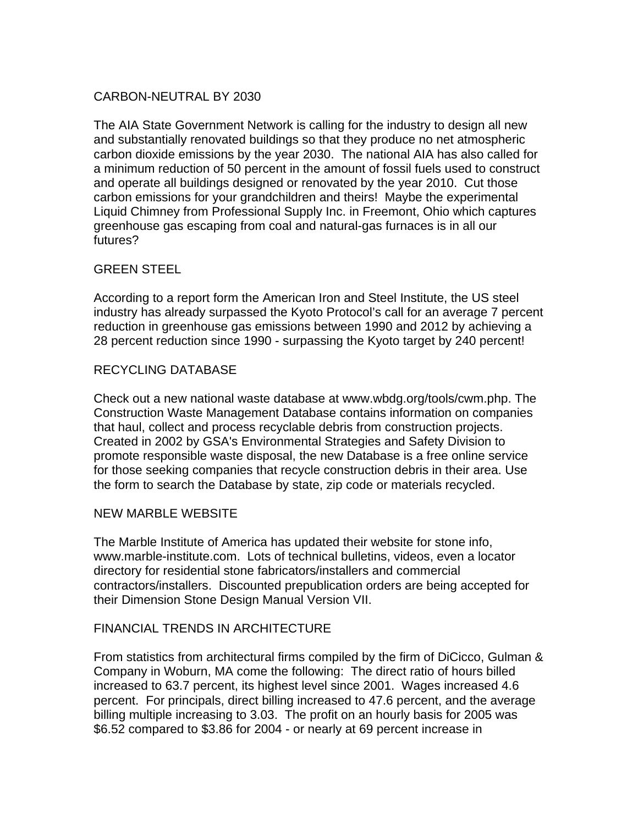# CARBON-NEUTRAL BY 2030

The AIA State Government Network is calling for the industry to design all new and substantially renovated buildings so that they produce no net atmospheric carbon dioxide emissions by the year 2030. The national AIA has also called for a minimum reduction of 50 percent in the amount of fossil fuels used to construct and operate all buildings designed or renovated by the year 2010. Cut those carbon emissions for your grandchildren and theirs! Maybe the experimental Liquid Chimney from Professional Supply Inc. in Freemont, Ohio which captures greenhouse gas escaping from coal and natural-gas furnaces is in all our futures?

### GREEN STEEL

According to a report form the American Iron and Steel Institute, the US steel industry has already surpassed the Kyoto Protocol's call for an average 7 percent reduction in greenhouse gas emissions between 1990 and 2012 by achieving a 28 percent reduction since 1990 - surpassing the Kyoto target by 240 percent!

### RECYCLING DATABASE

Check out a new national waste database at www.wbdg.org/tools/cwm.php. The Construction Waste Management Database contains information on companies that haul, collect and process recyclable debris from construction projects. Created in 2002 by GSA's Environmental Strategies and Safety Division to promote responsible waste disposal, the new Database is a free online service for those seeking companies that recycle construction debris in their area. Use the form to search the Database by state, zip code or materials recycled.

### NEW MARBLE WEBSITE

The Marble Institute of America has updated their website for stone info, www.marble-institute.com. Lots of technical bulletins, videos, even a locator directory for residential stone fabricators/installers and commercial contractors/installers. Discounted prepublication orders are being accepted for their Dimension Stone Design Manual Version VII.

### FINANCIAL TRENDS IN ARCHITECTURE

From statistics from architectural firms compiled by the firm of DiCicco, Gulman & Company in Woburn, MA come the following: The direct ratio of hours billed increased to 63.7 percent, its highest level since 2001. Wages increased 4.6 percent. For principals, direct billing increased to 47.6 percent, and the average billing multiple increasing to 3.03. The profit on an hourly basis for 2005 was \$6.52 compared to \$3.86 for 2004 - or nearly at 69 percent increase in